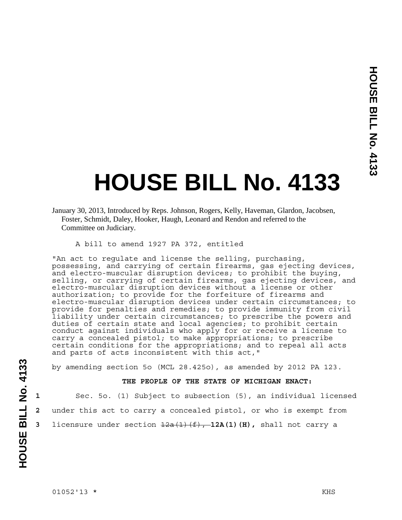## **HOUSE BILL No. 4133**

A bill to amend 1927 PA 372, entitled

"An act to regulate and license the selling, purchasing, possessing, and carrying of certain firearms, gas ejecting devices, and electro-muscular disruption devices; to prohibit the buying, selling, or carrying of certain firearms, gas ejecting devices, and electro-muscular disruption devices without a license or other authorization; to provide for the forfeiture of firearms and electro-muscular disruption devices under certain circumstances; to provide for penalties and remedies; to provide immunity from civil liability under certain circumstances; to prescribe the powers and duties of certain state and local agencies; to prohibit certain conduct against individuals who apply for or receive a license to carry a concealed pistol; to make appropriations; to prescribe certain conditions for the appropriations; and to repeal all acts and parts of acts inconsistent with this act,"

by amending section 5o (MCL 28.425o), as amended by 2012 PA 123.

## **THE PEOPLE OF THE STATE OF MICHIGAN ENACT:**

```
1 Sec. 5o. (1) Subject to subsection (5), an individual licensed 
2 under this act to carry a concealed pistol, or who is exempt from 
3 licensure under section \frac{12a(1)(f)}{f}, 12A(1)(H), shall not carry a
```
January 30, 2013, Introduced by Reps. Johnson, Rogers, Kelly, Haveman, Glardon, Jacobsen, Foster, Schmidt, Daley, Hooker, Haugh, Leonard and Rendon and referred to the Committee on Judiciary.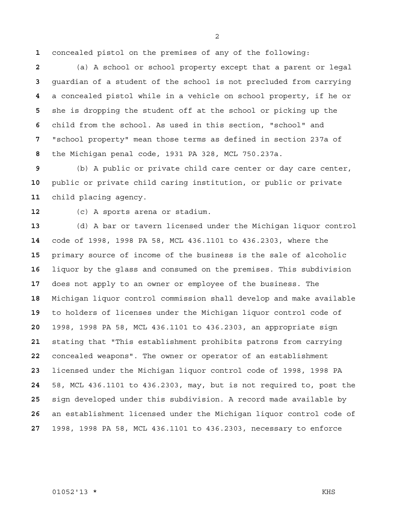concealed pistol on the premises of any of the following:

(a) A school or school property except that a parent or legal guardian of a student of the school is not precluded from carrying a concealed pistol while in a vehicle on school property, if he or she is dropping the student off at the school or picking up the child from the school. As used in this section, "school" and "school property" mean those terms as defined in section 237a of the Michigan penal code, 1931 PA 328, MCL 750.237a.

(b) A public or private child care center or day care center, public or private child caring institution, or public or private child placing agency.

(c) A sports arena or stadium.

(d) A bar or tavern licensed under the Michigan liquor control code of 1998, 1998 PA 58, MCL 436.1101 to 436.2303, where the primary source of income of the business is the sale of alcoholic liquor by the glass and consumed on the premises. This subdivision does not apply to an owner or employee of the business. The Michigan liquor control commission shall develop and make available to holders of licenses under the Michigan liquor control code of 1998, 1998 PA 58, MCL 436.1101 to 436.2303, an appropriate sign stating that "This establishment prohibits patrons from carrying concealed weapons". The owner or operator of an establishment licensed under the Michigan liquor control code of 1998, 1998 PA 58, MCL 436.1101 to 436.2303, may, but is not required to, post the sign developed under this subdivision. A record made available by an establishment licensed under the Michigan liquor control code of 1998, 1998 PA 58, MCL 436.1101 to 436.2303, necessary to enforce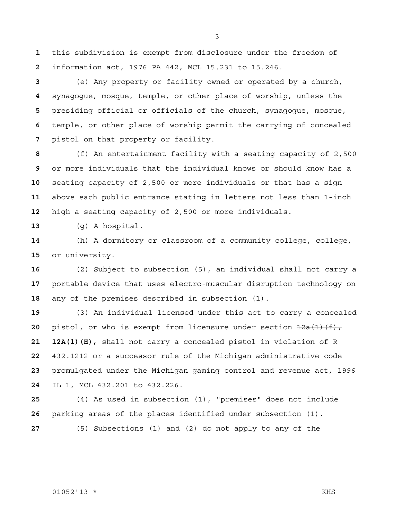this subdivision is exempt from disclosure under the freedom of information act, 1976 PA 442, MCL 15.231 to 15.246.

(e) Any property or facility owned or operated by a church, synagogue, mosque, temple, or other place of worship, unless the presiding official or officials of the church, synagogue, mosque, temple, or other place of worship permit the carrying of concealed pistol on that property or facility.

(f) An entertainment facility with a seating capacity of 2,500 or more individuals that the individual knows or should know has a seating capacity of 2,500 or more individuals or that has a sign above each public entrance stating in letters not less than 1-inch high a seating capacity of 2,500 or more individuals.

(g) A hospital.

(h) A dormitory or classroom of a community college, college, or university.

(2) Subject to subsection (5), an individual shall not carry a portable device that uses electro-muscular disruption technology on any of the premises described in subsection (1).

(3) An individual licensed under this act to carry a concealed pistol, or who is exempt from licensure under section  $\frac{12a(1)(f)}{f}$ , **21 12A(1)(H),** shall not carry a concealed pistol in violation of R 432.1212 or a successor rule of the Michigan administrative code promulgated under the Michigan gaming control and revenue act, 1996 IL 1, MCL 432.201 to 432.226.

(4) As used in subsection (1), "premises" does not include parking areas of the places identified under subsection (1).

(5) Subsections (1) and (2) do not apply to any of the

##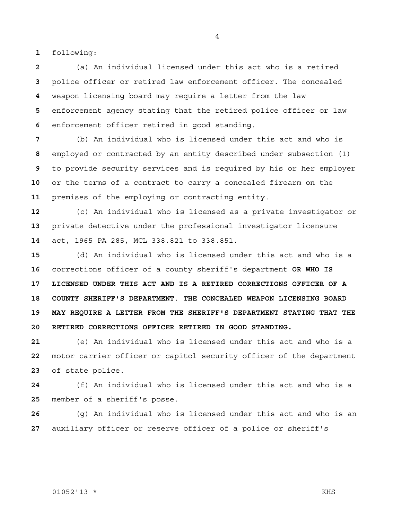following:

(a) An individual licensed under this act who is a retired police officer or retired law enforcement officer. The concealed weapon licensing board may require a letter from the law enforcement agency stating that the retired police officer or law enforcement officer retired in good standing.

(b) An individual who is licensed under this act and who is employed or contracted by an entity described under subsection (1) to provide security services and is required by his or her employer or the terms of a contract to carry a concealed firearm on the premises of the employing or contracting entity.

(c) An individual who is licensed as a private investigator or private detective under the professional investigator licensure act, 1965 PA 285, MCL 338.821 to 338.851.

(d) An individual who is licensed under this act and who is a corrections officer of a county sheriff's department **OR WHO IS 17 LICENSED UNDER THIS ACT AND IS A RETIRED CORRECTIONS OFFICER OF A 18 COUNTY SHERIFF'S DEPARTMENT**. **THE CONCEALED WEAPON LICENSING BOARD 19 MAY REQUIRE A LETTER FROM THE SHERIFF'S DEPARTMENT STATING THAT THE 20 RETIRED CORRECTIONS OFFICER RETIRED IN GOOD STANDING.**

(e) An individual who is licensed under this act and who is a motor carrier officer or capitol security officer of the department of state police.

(f) An individual who is licensed under this act and who is a member of a sheriff's posse.

(g) An individual who is licensed under this act and who is an auxiliary officer or reserve officer of a police or sheriff's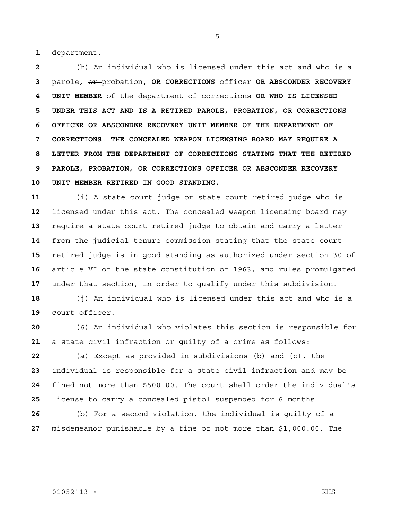department.

(h) An individual who is licensed under this act and who is a parole**,** or probation**, OR CORRECTIONS** officer **OR ABSCONDER RECOVERY 4 UNIT MEMBER** of the department of corrections **OR WHO IS LICENSED 5 UNDER THIS ACT AND IS A RETIRED PAROLE, PROBATION, OR CORRECTIONS 6 OFFICER OR ABSCONDER RECOVERY UNIT MEMBER OF THE DEPARTMENT OF 7 CORRECTIONS**. **THE CONCEALED WEAPON LICENSING BOARD MAY REQUIRE A 8 LETTER FROM THE DEPARTMENT OF CORRECTIONS STATING THAT THE RETIRED 9 PAROLE, PROBATION, OR CORRECTIONS OFFICER OR ABSCONDER RECOVERY 10 UNIT MEMBER RETIRED IN GOOD STANDING.**

(i) A state court judge or state court retired judge who is licensed under this act. The concealed weapon licensing board may require a state court retired judge to obtain and carry a letter from the judicial tenure commission stating that the state court retired judge is in good standing as authorized under section 30 of article VI of the state constitution of 1963, and rules promulgated under that section, in order to qualify under this subdivision.

(j) An individual who is licensed under this act and who is a court officer.

(6) An individual who violates this section is responsible for a state civil infraction or guilty of a crime as follows:

(a) Except as provided in subdivisions (b) and (c), the individual is responsible for a state civil infraction and may be fined not more than \$500.00. The court shall order the individual's license to carry a concealed pistol suspended for 6 months.

(b) For a second violation, the individual is guilty of a misdemeanor punishable by a fine of not more than \$1,000.00. The